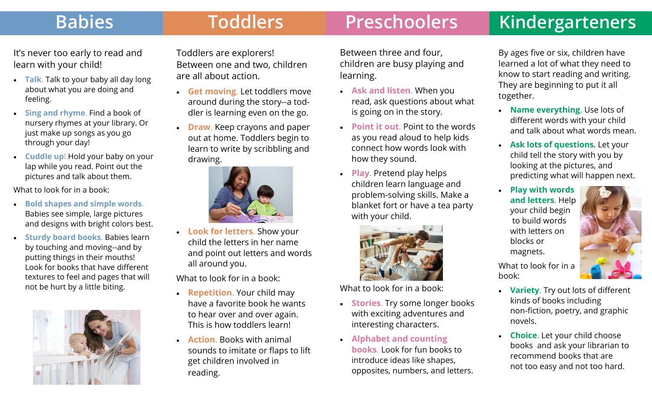## Babies **Toddlers** Preschoolers Kindergarteners

It's never too early to read and learn with your child!

- $\bullet$  **Talk**. Talk to your baby all day long about what you are doing and feeling.
- $\bullet$  **Sing and rhyme**. Find a book of nursery rhymes at your library. Or just make up songs as you go through your day!
- $\bullet$  **Cuddle up**! Hold your baby on your lap while you read. Point out the pictures and talk about them.

What to look for in a book:

- $\bullet$  **Bold shapes and simple words**. Babies see simple, large pictures and designs with bright colors best.
- $\bullet$  **Sturdy board books**. Babies learn by touching and moving--and by putting things in their mouths! Look for books that have di fferent textures to feel and pages that will not be hurt by a little biting.



Toddlers are explorers! Between one and two, children are all about action.

- **Get moving**. Let toddlers move around during the story--a toddler is learning even on the go.
- **Draw**. Keep crayons and paper out at home. Toddlers begin to learn to write by scribbling and drawing.



 **Look for letters**. Show your child the letters in her name and point out letters and words all around you.

What to look for in a book:

- **Repetition**. Your child may have a favorite book he wants to hear over and over again. This is how toddlers learn!
- $\bullet$  **Action**. Books with animal sounds to imitate or flaps to lift get children involved in reading.

Between three and four, children are busy playing and learning.

- **Ask and listen**. When you read, ask questions about what is going on in the story.
- **Point it out**. Point to the words as you read aloud to help kids connect how words look with how they sound.
- $\bullet$  **Play**. Pretend play helps children learn language and problem-solving skills. Make a blanket fort or have a tea party with your child.



What to look for in a book:

- **Stories**. Try some longer books with exciting adventures and interesting characters.
- **Alphabet and counting books**. Look for fun books to introduce ideas like shapes, opposites, numbers, and letters.

By ages five or six, children have learned a lot of what they need to know to start reading and writing. They are beginning to put it all together.

- $\bullet$  **Name everything**. Use lots of di fferent words with your child and talk about what words mean.
- $\bullet$  **Ask lots of questions**. Let your child tell the story with you by looking at the pictures, and predicting what will happen next.
- $\bullet$  **Play with words and letters**. Help your child begin to build words with letters on blocks or magnets.

What to look for in a book:

- $\bullet$  **Variety**. Try out lots of di fferent kinds of books including non-fiction, poetry, and graphic novels.
- $\bullet$  **Choice**. Let your child choose books and ask your librarian to recommend books that are not too easy and not too hard.